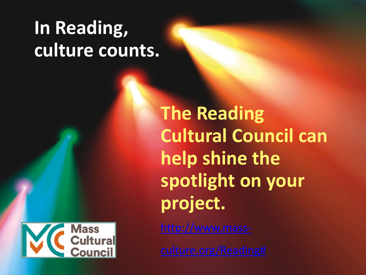## **In Reading, culture counts.**



**The Reading Cultural Council can help shine the spotlight on your project.**

http://www.mass-

[culture.org/Reading#](http://www.mass-culture.org/Reading)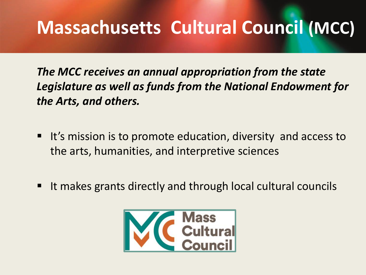### **Massachusetts Cultural Council (MCC)**

*The MCC receives an annual appropriation from the state Legislature as well as funds from the National Endowment for the Arts, and others.*

- It's mission is to promote education, diversity and access to the arts, humanities, and interpretive sciences
- It makes grants directly and through local cultural councils

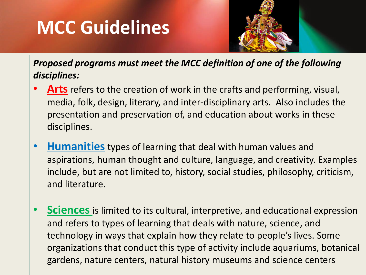### **MCC Guidelines**



*Proposed programs must meet the MCC definition of one of the following disciplines:*

- **Arts** refers to the creation of work in the crafts and performing, visual, media, folk, design, literary, and inter-disciplinary arts. Also includes the presentation and preservation of, and education about works in these disciplines.
- **Humanities** types of learning that deal with human values and aspirations, human thought and culture, language, and creativity. Examples include, but are not limited to, history, social studies, philosophy, criticism, and literature.
- **Sciences** is limited to its cultural, interpretive, and educational expression and refers to types of learning that deals with nature, science, and technology in ways that explain how they relate to people's lives. Some organizations that conduct this type of activity include aquariums, botanical gardens, nature centers, natural history museums and science centers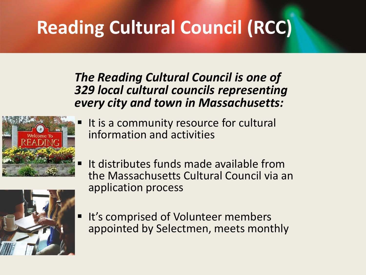# **Reading Cultural Council (RCC)**

#### *The Reading Cultural Council is one of 329 local cultural councils representing every city and town in Massachusetts:*



- It is a community resource for cultural information and activities
- It distributes funds made available from the Massachusetts Cultural Council via an application process



It's comprised of Volunteer members appointed by Selectmen, meets monthly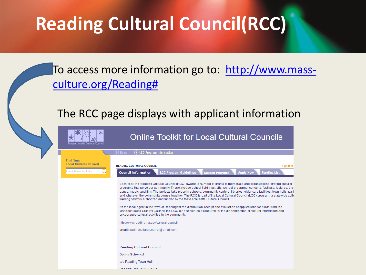### **Reading Cultural Council(RCC)**



#### The RCC page displays with applicant information

| ∗<br>Massachusetts Cultural Council               | <b>Online Toolkit for Local Cultural Councils</b>                                                                                                                                                                                                                                                                                                                                                                                                                                                                                                                                                                                                                                                                                                                                                                                                                                                                                                                                                             |
|---------------------------------------------------|---------------------------------------------------------------------------------------------------------------------------------------------------------------------------------------------------------------------------------------------------------------------------------------------------------------------------------------------------------------------------------------------------------------------------------------------------------------------------------------------------------------------------------------------------------------------------------------------------------------------------------------------------------------------------------------------------------------------------------------------------------------------------------------------------------------------------------------------------------------------------------------------------------------------------------------------------------------------------------------------------------------|
|                                                   | (b) Home<br>10 LCC Program Information                                                                                                                                                                                                                                                                                                                                                                                                                                                                                                                                                                                                                                                                                                                                                                                                                                                                                                                                                                        |
| <b>Find Your</b><br><b>Local Cultural Council</b> | <b>READING CULTURAL COUNCIL</b><br>$\blacktriangleright$ print th                                                                                                                                                                                                                                                                                                                                                                                                                                                                                                                                                                                                                                                                                                                                                                                                                                                                                                                                             |
| Find Town or City                                 | <b>LCC Program Guidelines</b><br><b>Funding List</b><br><b>Council Information</b><br><b>Apply Now</b><br><b>Council Priorities</b>                                                                                                                                                                                                                                                                                                                                                                                                                                                                                                                                                                                                                                                                                                                                                                                                                                                                           |
|                                                   | Each year, the Reading Cultural Council (RCC) awards a number of grants to individuals and organizations offering cultural<br>programs that serve our community. These include school field trips, after school programs, concerts, festivals, lectures, the<br>dance, music, and film. The projects take place in schools, community centers, libraries, elder care facilities, town halls, parl<br>and wherever the community comes together. The RCC is part of the Local Cultural Council (LCC) program, a statewide culti<br>funding network authorized and funded by the Massachusetts Cultural Council.<br>As the local agent in the town of Reading for the distribution, receipt and evaluation of applications for funds from the<br>Massachusetts Cultural Council, the RCC also serves as a resource for the dissemination of cultural information and<br>encourages cultural activities in the community.<br>http://www.readingma.gov/cultural-council<br>email readingculturalcouncil@gmail.com |
|                                                   | <b>Reading Cultural Council</b>                                                                                                                                                                                                                                                                                                                                                                                                                                                                                                                                                                                                                                                                                                                                                                                                                                                                                                                                                                               |
|                                                   | Donna Schenkel                                                                                                                                                                                                                                                                                                                                                                                                                                                                                                                                                                                                                                                                                                                                                                                                                                                                                                                                                                                                |
|                                                   | c/o Reading Town Hall                                                                                                                                                                                                                                                                                                                                                                                                                                                                                                                                                                                                                                                                                                                                                                                                                                                                                                                                                                                         |
|                                                   | Reading MA 01867-2601                                                                                                                                                                                                                                                                                                                                                                                                                                                                                                                                                                                                                                                                                                                                                                                                                                                                                                                                                                                         |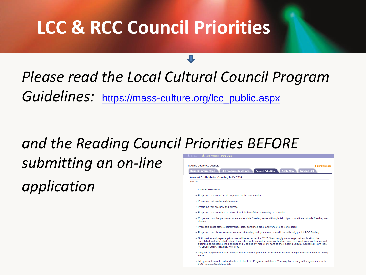### **LCC & RCC Council Priorities**

*Please read the Local Cultural Council Program*  Guidelines: [https://mass-culture.org/lcc\\_public.aspx](https://mass-culture.org/lcc_public.aspx)

# *and the Reading Council Priorities BEFORE*

*submitting an on-line*

*application*

**READING CULTURAL COUNCIL**  $\triangleright$  print this page **LCC Program Guide** Council Priorities **Amount Available for Granting in FY 2016** \$6,400 **Council Priorities** . Programs that serve broad segments of the community • Programs that involve collaboration . Programs that are new and diverse . Programs that contribute to the cultural vitality of the community as a whole . Programs must be performed at an accessible Reading venue although field trips to locations outside Reading are eligible . Proposals must state a performance date, confirmed artist and venue to be considered . Programs must have alternate sources of funding and guarantee they will run with only partial RCC funding . Both on-line and paper applications will be accepted for FY17. We strongly encourage that applications be completed and submitted online. If you choose to submit a paper application, you must print your application and submit a completed signed original and 6 copies by mail or by hand to the Reading Cultural Council at Town Hall, 16 Lowell Street, Reading, MA 01867 . Only one application will be accepted from each organization or applicant unless multiple constituencies are being served . All applicants must read and adhere to the LCC Program Guidelines. You may find a copy of the guidelines in the **LCC Program Guidelines tab.**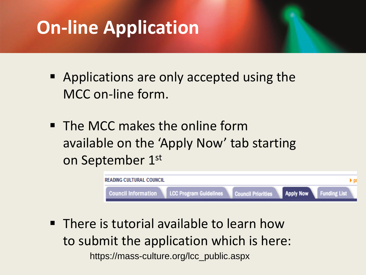## **On-line Application**

- Applications are only accepted using the MCC on-line form.
- The MCC makes the online form available on the 'Apply Now' tab starting on September 1st



**• There is tutorial available to learn how** to submit the application which is here: https://mass-culture.org/lcc\_public.aspx